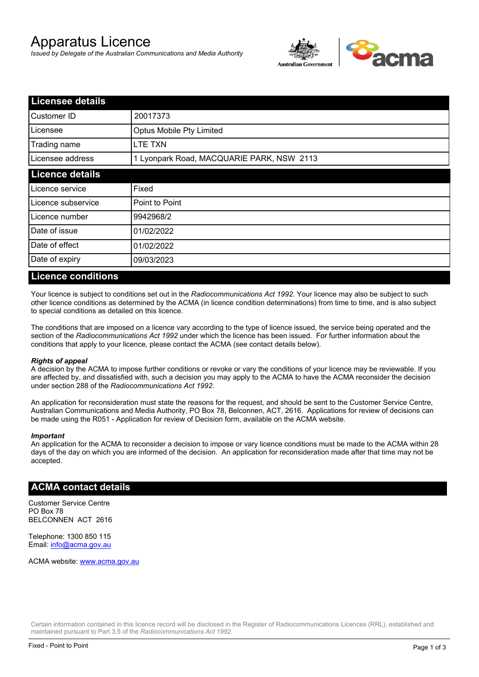# Apparatus Licence

*Issued by Delegate of the Australian Communications and Media Authority*



| <b>Licensee details</b> |                                           |  |
|-------------------------|-------------------------------------------|--|
| Customer ID             | 20017373                                  |  |
| Licensee                | <b>Optus Mobile Pty Limited</b>           |  |
| Trading name            | LTE TXN                                   |  |
| Licensee address        | 1 Lyonpark Road, MACQUARIE PARK, NSW 2113 |  |
| <b>Licence details</b>  |                                           |  |
| Licence service         | Fixed                                     |  |
| Licence subservice      | Point to Point                            |  |
| Licence number          | 9942968/2                                 |  |
| Date of issue           | 01/02/2022                                |  |
| Date of effect          | 01/02/2022                                |  |
| Date of expiry          | 09/03/2023                                |  |

#### **Licence conditions**

Your licence is subject to conditions set out in the *Radiocommunications Act 1992*. Your licence may also be subject to such other licence conditions as determined by the ACMA (in licence condition determinations) from time to time, and is also subject to special conditions as detailed on this licence.

The conditions that are imposed on a licence vary according to the type of licence issued, the service being operated and the section of the *Radiocommunications Act 1992* under which the licence has been issued. For further information about the conditions that apply to your licence, please contact the ACMA (see contact details below).

#### *Rights of appeal*

A decision by the ACMA to impose further conditions or revoke or vary the conditions of your licence may be reviewable. If you are affected by, and dissatisfied with, such a decision you may apply to the ACMA to have the ACMA reconsider the decision under section 288 of the *Radiocommunications Act 1992*.

An application for reconsideration must state the reasons for the request, and should be sent to the Customer Service Centre, Australian Communications and Media Authority, PO Box 78, Belconnen, ACT, 2616. Applications for review of decisions can be made using the R051 - Application for review of Decision form, available on the ACMA website.

#### *Important*

An application for the ACMA to reconsider a decision to impose or vary licence conditions must be made to the ACMA within 28 days of the day on which you are informed of the decision. An application for reconsideration made after that time may not be accepted.

### **ACMA contact details**

Customer Service Centre PO Box 78 BELCONNEN ACT 2616

Telephone: 1300 850 115 Email: info@acma.gov.au

ACMA website: www.acma.gov.au

Certain information contained in this licence record will be disclosed in the Register of Radiocommunications Licences (RRL), established and maintained pursuant to Part 3.5 of the *Radiocommunications Act 1992.*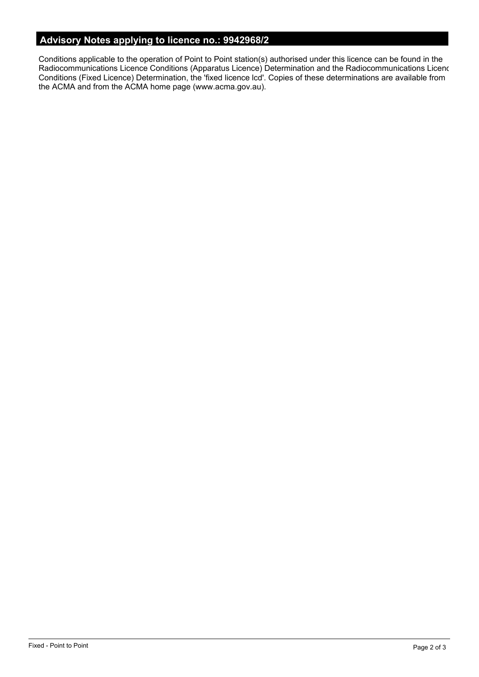# **Advisory Notes applying to licence no.: 9942968/2**

Conditions applicable to the operation of Point to Point station(s) authorised under this licence can be found in the Radiocommunications Licence Conditions (Apparatus Licence) Determination and the Radiocommunications Licence Conditions (Fixed Licence) Determination, the 'fixed licence lcd'. Copies of these determinations are available from the ACMA and from the ACMA home page (www.acma.gov.au).